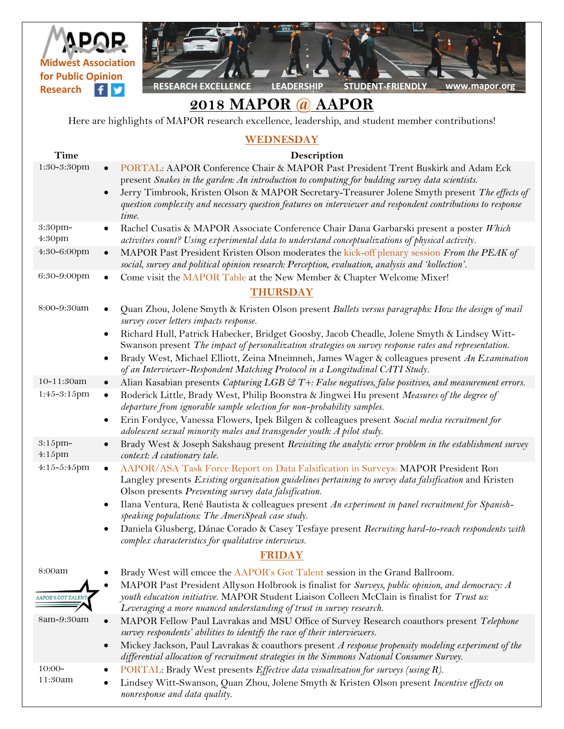



## **2018 MAPOR @ AAPOR**

Here are highlights of MAPOR research excellence, leadership, and student member contributions!

## **WEDNESDAY**

| <b>Time</b>              | Description                                                                                                                                                                                                                                                     |
|--------------------------|-----------------------------------------------------------------------------------------------------------------------------------------------------------------------------------------------------------------------------------------------------------------|
| 1:30-3:30pm              | PORTAL: AAPOR Conference Chair & MAPOR Past President Trent Buskirk and Adam Eck<br>$\bullet$                                                                                                                                                                   |
|                          | present Snakes in the garden: An introduction to computing for budding survey data scientists.                                                                                                                                                                  |
|                          | Jerry Timbrook, Kristen Olson & MAPOR Secretary-Treasurer Jolene Smyth present The effects of<br>$\bullet$<br>question complexity and necessary question features on interviewer and respondent contributions to response                                       |
|                          | time.                                                                                                                                                                                                                                                           |
| 3:30pm-<br>4:30pm        | Rachel Cusatis & MAPOR Associate Conference Chair Dana Garbarski present a poster Which<br>activities count? Using experimental data to understand conceptualizations of physical activity.                                                                     |
| 4:30-6:00pm              | MAPOR Past President Kristen Olson moderates the kick-off plenary session From the PEAK of<br>$\bullet$<br>social, survey and political opinion research: Perception, evaluation, analysis and 'kollection'.                                                    |
| 6:30-9:00pm              | Come visit the MAPOR Table at the New Member & Chapter Welcome Mixer!                                                                                                                                                                                           |
|                          | <b>THURSDAY</b>                                                                                                                                                                                                                                                 |
| 8:00-9:30am              | Quan Zhou, Jolene Smyth & Kristen Olson present Bullets versus paragraphs: How the design of mail<br>survey cover letters impacts response.                                                                                                                     |
|                          | Richard Hull, Patrick Habecker, Bridget Goosby, Jacob Cheadle, Jolene Smyth & Lindsey Witt-<br>Swanson present The impact of personalization strategies on survey response rates and representation.                                                            |
|                          | Brady West, Michael Elliott, Zeina Mneimneh, James Wager & colleagues present An Examination<br>٠<br>of an Interviewer-Respondent Matching Protocol in a Longitudinal CATI Study.                                                                               |
| 10-11:30am               | Alian Kasabian presents Capturing LGB & T+: False negatives, false positives, and measurement errors.                                                                                                                                                           |
| 1:45-3:15pm              | Roderick Little, Brady West, Philip Boonstra & Jingwei Hu present Measures of the degree of<br>$\bullet$<br>departure from ignorable sample selection for non-probability samples.                                                                              |
|                          | Erin Fordyce, Vanessa Flowers, Ipek Bilgen & colleagues present Social media recruitment for<br>$\bullet$<br>adolescent sexual minority males and transgender youth: A pilot study.                                                                             |
| 3:15pm-<br>$4:15$ pm     | Brady West & Joseph Sakshaug present Revisiting the analytic error problem in the establishment survey<br>context: A cautionary tale.                                                                                                                           |
| 4:15-5:45pm              | AAPOR/ASA Task Force Report on Data Falsification in Surveys: MAPOR President Ron<br>$\bullet$<br>Langley presents Existing organization guidelines pertaining to survey data falsification and Kristen<br>Olson presents Preventing survey data falsification. |
|                          | Ilana Ventura, René Bautista & colleagues present An experiment in panel recruitment for Spanish-<br>speaking populations: The AmeriSpeak case study.                                                                                                           |
|                          | Daniela Glusberg, Dánae Corado & Casey Tesfaye present Recruiting hard-to-reach respondents with<br>complex characteristics for qualitative interviews.                                                                                                         |
|                          | <b>FRIDAY</b>                                                                                                                                                                                                                                                   |
| 8:00am                   | Brady West will emcee the AAPOR's Got Talent session in the Grand Ballroom.                                                                                                                                                                                     |
|                          | MAPOR Past President Allyson Holbrook is finalist for Surveys, public opinion, and democracy: A                                                                                                                                                                 |
| <b>AAPOR'S GOT TALEN</b> | youth education initiative. MAPOR Student Liaison Colleen McClain is finalist for Trust us:<br>Leveraging a more nuanced understanding of trust in survey research.                                                                                             |
| 8am-9:30am               | MAPOR Fellow Paul Lavrakas and MSU Office of Survey Research coauthors present Telephone<br>survey respondents' abilities to identify the race of their interviewers.                                                                                           |
|                          | Mickey Jackson, Paul Lavrakas & coauthors present A response propensity modeling experiment of the<br>$\bullet$<br>differential allocation of recruitment strategies in the Simmons National Consumer Survey.                                                   |
| $10:00-$                 | PORTAL: Brady West presents Effective data visualization for surveys (using R).                                                                                                                                                                                 |
| 11:30am                  | Lindsey Witt-Swanson, Quan Zhou, Jolene Smyth & Kristen Olson present Incentive effects on<br>nonresponse and data quality.                                                                                                                                     |